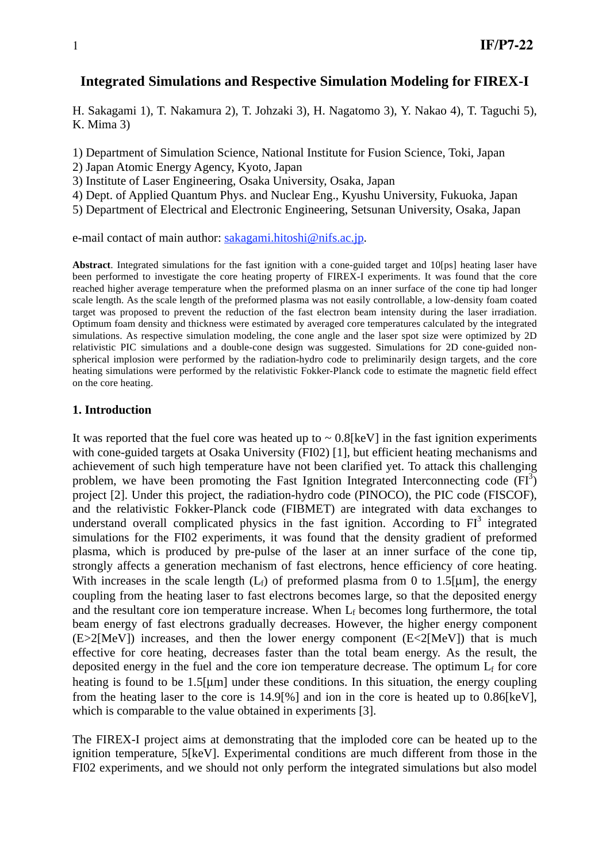# **Integrated Simulations and Respective Simulation Modeling for FIREX-I**

H. Sakagami 1), T. Nakamura 2), T. Johzaki 3), H. Nagatomo 3), Y. Nakao 4), T. Taguchi 5), K. Mima 3)

1) Department of Simulation Science, National Institute for Fusion Science, Toki, Japan

2) Japan Atomic Energy Agency, Kyoto, Japan

3) Institute of Laser Engineering, Osaka University, Osaka, Japan

4) Dept. of Applied Quantum Phys. and Nuclear Eng., Kyushu University, Fukuoka, Japan

5) Department of Electrical and Electronic Engineering, Setsunan University, Osaka, Japan

e-mail contact of main author: sakagami.hitoshi@nifs.ac.jp.

**Abstract**. Integrated simulations for the fast ignition with a cone-guided target and 10[ps] heating laser have been performed to investigate the core heating property of FIREX-I experiments. It was found that the core reached higher average temperature when the preformed plasma on an inner surface of the cone tip had longer scale length. As the scale length of the preformed plasma was not easily controllable, a low-density foam coated target was proposed to prevent the reduction of the fast electron beam intensity during the laser irradiation. Optimum foam density and thickness were estimated by averaged core temperatures calculated by the integrated simulations. As respective simulation modeling, the cone angle and the laser spot size were optimized by 2D relativistic PIC simulations and a double-cone design was suggested. Simulations for 2D cone-guided nonspherical implosion were performed by the radiation-hydro code to preliminarily design targets, and the core heating simulations were performed by the relativistic Fokker-Planck code to estimate the magnetic field effect on the core heating.

### **1. Introduction**

It was reported that the fuel core was heated up to  $\sim 0.8$ [keV] in the fast ignition experiments with cone-guided targets at Osaka University (FI02) [1], but efficient heating mechanisms and achievement of such high temperature have not been clarified yet. To attack this challenging problem, we have been promoting the Fast Ignition Integrated Interconnecting code  $(FI^3)$ project [2]. Under this project, the radiation-hydro code (PINOCO), the PIC code (FISCOF), and the relativistic Fokker-Planck code (FIBMET) are integrated with data exchanges to understand overall complicated physics in the fast ignition. According to  $FI<sup>3</sup>$  integrated simulations for the FI02 experiments, it was found that the density gradient of preformed plasma, which is produced by pre-pulse of the laser at an inner surface of the cone tip, strongly affects a generation mechanism of fast electrons, hence efficiency of core heating. With increases in the scale length  $(L_f)$  of preformed plasma from 0 to 1.5[µm], the energy coupling from the heating laser to fast electrons becomes large, so that the deposited energy and the resultant core ion temperature increase. When  $L_f$  becomes long furthermore, the total beam energy of fast electrons gradually decreases. However, the higher energy component  $(E>2[MeV])$  increases, and then the lower energy component  $(E<2[MeV])$  that is much effective for core heating, decreases faster than the total beam energy. As the result, the deposited energy in the fuel and the core ion temperature decrease. The optimum  $L_f$  for core heating is found to be 1.5[μm] under these conditions. In this situation, the energy coupling from the heating laser to the core is 14.9[%] and ion in the core is heated up to 0.86[keV], which is comparable to the value obtained in experiments [3].

The FIREX-I project aims at demonstrating that the imploded core can be heated up to the ignition temperature, 5[keV]. Experimental conditions are much different from those in the FI02 experiments, and we should not only perform the integrated simulations but also model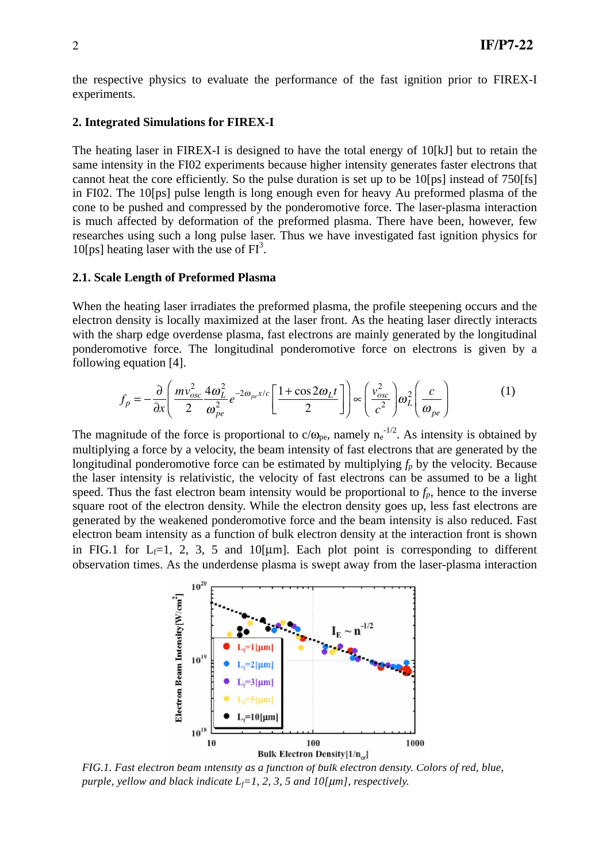the respective physics to evaluate the performance of the fast ignition prior to FIREX-I experiments.

#### **2. Integrated Simulations for FIREX-I**

The heating laser in FIREX-I is designed to have the total energy of 10[kJ] but to retain the same intensity in the FI02 experiments because higher intensity generates faster electrons that cannot heat the core efficiently. So the pulse duration is set up to be 10[ps] instead of 750[fs] in FI02. The 10[ps] pulse length is long enough even for heavy Au preformed plasma of the cone to be pushed and compressed by the ponderomotive force. The laser-plasma interaction is much affected by deformation of the preformed plasma. There have been, however, few researches using such a long pulse laser. Thus we have investigated fast ignition physics for 10[ps] heating laser with the use of  $FI<sup>3</sup>$ .

#### **2.1. Scale Length of Preformed Plasma**

When the heating laser irradiates the preformed plasma, the profile steepening occurs and the electron density is locally maximized at the laser front. As the heating laser directly interacts with the sharp edge overdense plasma, fast electrons are mainly generated by the longitudinal ponderomotive force. The longitudinal ponderomotive force on electrons is given by a following equation [4].

$$
f_p = -\frac{\partial}{\partial x} \left( \frac{m v_{osc}^2}{2} \frac{4\omega_L^2}{\omega_{pe}^2} e^{-2\omega_{pe} x/c} \left[ \frac{1 + \cos 2\omega_L t}{2} \right] \right) \propto \left( \frac{v_{osc}^2}{c^2} \right) \omega_L^2 \left( \frac{c}{\omega_{pe}} \right) \tag{1}
$$

The magnitude of the force is proportional to  $c/\omega_{pe}$ , namely  $n_e^{-1/2}$ . As intensity is obtained by multiplying a force by a velocity, the beam intensity of fast electrons that are generated by the longitudinal ponderomotive force can be estimated by multiplying  $f_p$  by the velocity. Because the laser intensity is relativistic, the velocity of fast electrons can be assumed to be a light speed. Thus the fast electron beam intensity would be proportional to  $f_p$ , hence to the inverse square root of the electron density. While the electron density goes up, less fast electrons are generated by the weakened ponderomotive force and the beam intensity is also reduced. Fast electron beam intensity as a function of bulk electron density at the interaction front is shown in FIG.1 for  $L_f=1$ , 2, 3, 5 and 10[µm]. Each plot point is corresponding to different observation times. As the underdense plasma is swept away from the laser-plasma interaction



*FIG.1. Fast electron beam intensity as a function of bulk electron density. Colors of red, blue,* 

*purple, yellow and black indicate*  $L_f = 1, 2, 3, 5$  *and 10[* $\mu$ *m], respectively.*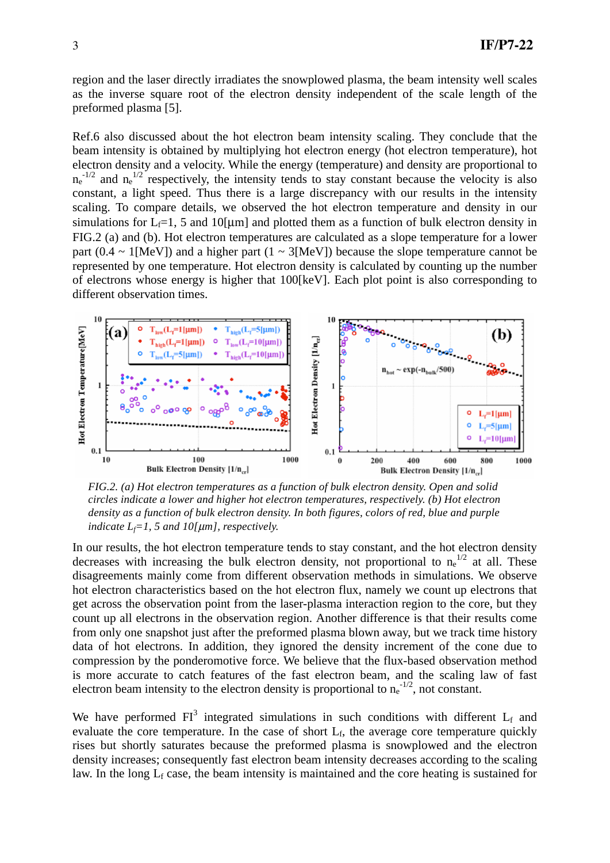region and the laser directly irradiates the snowplowed plasma, the beam intensity well scales as the inverse square root of the electron density independent of the scale length of the preformed plasma [5].

Ref.6 also discussed about the hot electron beam intensity scaling. They conclude that the beam intensity is obtained by multiplying hot electron energy (hot electron temperature), hot electron density and a velocity. While the energy (temperature) and density are proportional to  $n_e^{-1/2}$  and  $n_e^{-1/2}$  respectively, the intensity tends to stay constant because the velocity is also constant, a light speed. Thus there is a large discrepancy with our results in the intensity scaling. To compare details, we observed the hot electron temperature and density in our simulations for  $L_f=1$ , 5 and 10[µm] and plotted them as a function of bulk electron density in FIG.2 (a) and (b). Hot electron temperatures are calculated as a slope temperature for a lower part (0.4  $\sim$  1[MeV]) and a higher part (1  $\sim$  3[MeV]) because the slope temperature cannot be represented by one temperature. Hot electron density is calculated by counting up the number of electrons whose energy is higher that 100[keV]. Each plot point is also corresponding to different observation times.



*FIG.2. (a) Hot electron temperatures as a function of bulk electron density. Open and solid circles indicate a lower and higher hot electron temperatures, respectively. (b) Hot electron density as a function of bulk electron density. In both figures, colors of red, blue and purple indicate*  $L_f = 1$ , 5 and 10[ $\mu$ m], respectively.

In our results, the hot electron temperature tends to stay constant, and the hot electron density decreases with increasing the bulk electron density, not proportional to  $n_e^{1/2}$  at all. These disagreements mainly come from different observation methods in simulations. We observe hot electron characteristics based on the hot electron flux, namely we count up electrons that get across the observation point from the laser-plasma interaction region to the core, but they count up all electrons in the observation region. Another difference is that their results come from only one snapshot just after the preformed plasma blown away, but we track time history data of hot electrons. In addition, they ignored the density increment of the cone due to compression by the ponderomotive force. We believe that the flux-based observation method is more accurate to catch features of the fast electron beam, and the scaling law of fast electron beam intensity to the electron density is proportional to  $n_e^{-1/2}$ , not constant.

We have performed  $FI^3$  integrated simulations in such conditions with different  $L_f$  and evaluate the core temperature. In the case of short  $L_f$ , the average core temperature quickly rises but shortly saturates because the preformed plasma is snowplowed and the electron density increases; consequently fast electron beam intensity decreases according to the scaling law. In the long  $L_f$  case, the beam intensity is maintained and the core heating is sustained for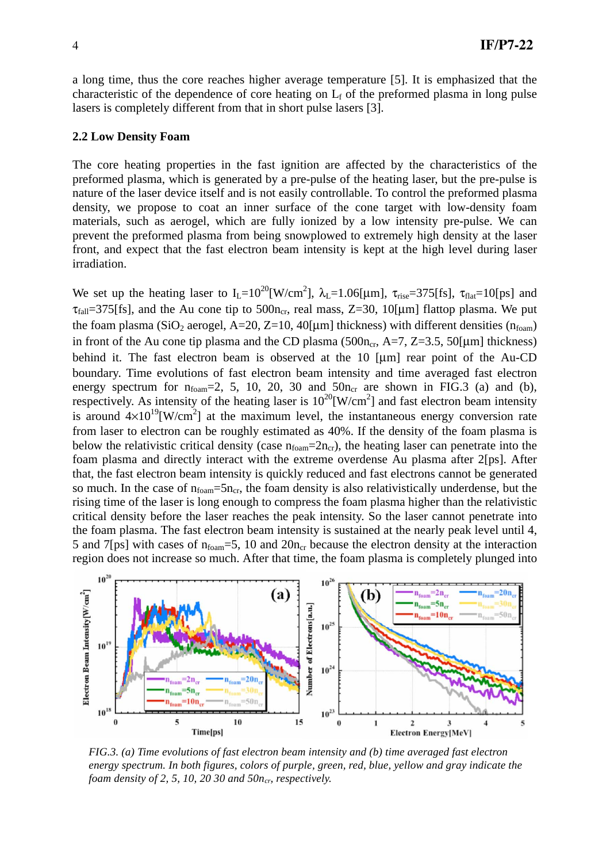a long time, thus the core reaches higher average temperature [5]. It is emphasized that the characteristic of the dependence of core heating on  $L_f$  of the preformed plasma in long pulse lasers is completely different from that in short pulse lasers [3].

#### **2.2 Low Density Foam**

The core heating properties in the fast ignition are affected by the characteristics of the preformed plasma, which is generated by a pre-pulse of the heating laser, but the pre-pulse is nature of the laser device itself and is not easily controllable. To control the preformed plasma density, we propose to coat an inner surface of the cone target with low-density foam materials, such as aerogel, which are fully ionized by a low intensity pre-pulse. We can prevent the preformed plasma from being snowplowed to extremely high density at the laser front, and expect that the fast electron beam intensity is kept at the high level during laser irradiation.

We set up the heating laser to  $I_L=10^{20}$  [W/cm<sup>2</sup>],  $\lambda_L=1.06$  [µm],  $\tau_{rise}=375$  [fs],  $\tau_{flat}=10$  [ps] and  $\tau_{fall}$ =375[fs], and the Au cone tip to 500n<sub>cr</sub>, real mass, Z=30, 10[ $\mu$ m] flattop plasma. We put the foam plasma (SiO<sub>2</sub> aerogel, A=20, Z=10, 40[µm] thickness) with different densities ( $n_{foam}$ ) in front of the Au cone tip plasma and the CD plasma (500n<sub>cr</sub>, A=7, Z=3.5, 50[µm] thickness) behind it. The fast electron beam is observed at the 10 [µm] rear point of the Au-CD boundary. Time evolutions of fast electron beam intensity and time averaged fast electron energy spectrum for  $n_{foam} = 2$ , 5, 10, 20, 30 and  $50n_{cr}$  are shown in FIG.3 (a) and (b), respectively. As intensity of the heating laser is  $10^{20}$ [W/cm<sup>2</sup>] and fast electron beam intensity is around  $4\times10^{19}$ [W/cm<sup>2</sup>] at the maximum level, the instantaneous energy conversion rate from laser to electron can be roughly estimated as 40%. If the density of the foam plasma is below the relativistic critical density (case  $n_{foam} = 2n_{cr}$ ), the heating laser can penetrate into the foam plasma and directly interact with the extreme overdense Au plasma after 2[ps]. After that, the fast electron beam intensity is quickly reduced and fast electrons cannot be generated so much. In the case of  $n_{foam} = 5n_{cr}$ , the foam density is also relativistically underdense, but the rising time of the laser is long enough to compress the foam plasma higher than the relativistic critical density before the laser reaches the peak intensity. So the laser cannot penetrate into the foam plasma. The fast electron beam intensity is sustained at the nearly peak level until 4, 5 and 7[ps] with cases of  $n_{foam} = 5$ , 10 and  $20n_{cr}$  because the electron density at the interaction region does not increase so much. After that time, the foam plasma is completely plunged into



*FIG.3. (a) Time evolutions of fast electron beam intensity and (b) time averaged fast electron energy spectrum. In both figures, colors of purple, green, red, blue, yellow and gray indicate the foam density of 2, 5, 10, 20 30 and 50n<sub>cp</sub> respectively.*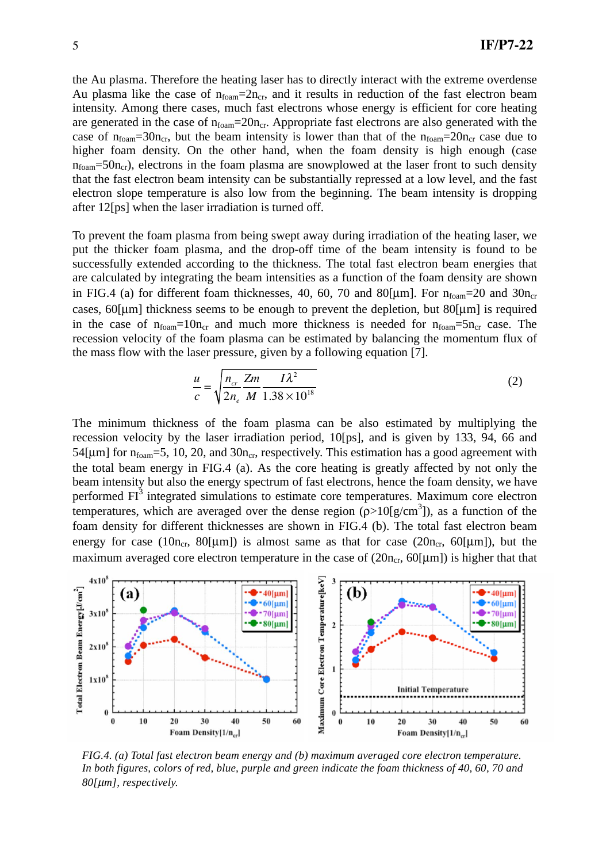the Au plasma. Therefore the heating laser has to directly interact with the extreme overdense Au plasma like the case of  $n_{foam} = 2n_{cr}$ , and it results in reduction of the fast electron beam intensity. Among there cases, much fast electrons whose energy is efficient for core heating are generated in the case of  $n_{foam} = 20n_{cr}$ . Appropriate fast electrons are also generated with the case of  $n_{foam} = 30n_{cr}$ , but the beam intensity is lower than that of the  $n_{foam} = 20n_{cr}$  case due to higher foam density. On the other hand, when the foam density is high enough (case  $n_{foam} = 50n_{cr}$ , electrons in the foam plasma are snowplowed at the laser front to such density that the fast electron beam intensity can be substantially repressed at a low level, and the fast electron slope temperature is also low from the beginning. The beam intensity is dropping after 12[ps] when the laser irradiation is turned off.

To prevent the foam plasma from being swept away during irradiation of the heating laser, we put the thicker foam plasma, and the drop-off time of the beam intensity is found to be successfully extended according to the thickness. The total fast electron beam energies that are calculated by integrating the beam intensities as a function of the foam density are shown in FIG.4 (a) for different foam thicknesses, 40, 60, 70 and 80[ $\mu$ m]. For  $n_{foam}$ =20 and 30 $n_{cr}$ cases,  $60$ [µm] thickness seems to be enough to prevent the depletion, but  $80$ [µm] is required in the case of  $n_{foam} = 10n_{cr}$  and much more thickness is needed for  $n_{foam} = 5n_{cr}$  case. The recession velocity of the foam plasma can be estimated by balancing the momentum flux of the mass flow with the laser pressure, given by a following equation [7].

$$
\frac{u}{c} = \sqrt{\frac{n_{cr}}{2n_e} \frac{Zm}{M} \frac{I\lambda^2}{1.38 \times 10^{18}}}
$$
(2)

The minimum thickness of the foam plasma can be also estimated by multiplying the recession velocity by the laser irradiation period, 10[ps], and is given by 133, 94, 66 and 54[ $\mu$ m] for n<sub>foam</sub>=5, 10, 20, and 30n<sub>cr</sub>, respectively. This estimation has a good agreement with the total beam energy in FIG.4 (a). As the core heating is greatly affected by not only the beam intensity but also the energy spectrum of fast electrons, hence the foam density, we have performed  $FI<sup>3</sup>$  integrated simulations to estimate core temperatures. Maximum core electron temperatures, which are averaged over the dense region  $(p>10[g/cm^3])$ , as a function of the foam density for different thicknesses are shown in FIG.4 (b). The total fast electron beam energy for case (10n<sub>cr</sub>, 80[µm]) is almost same as that for case (20n<sub>cr</sub>, 60[µm]), but the maximum averaged core electron temperature in the case of  $(20n_{cr}, 60[\mu m])$  is higher that that



*FIG.4. (a) Total fast electron beam energy and (b) maximum averaged core electron temperature. In both figures, colors of red, blue, purple and green indicate the foam thickness of 40, 60, 70 and 80[*μ*m], respectively.*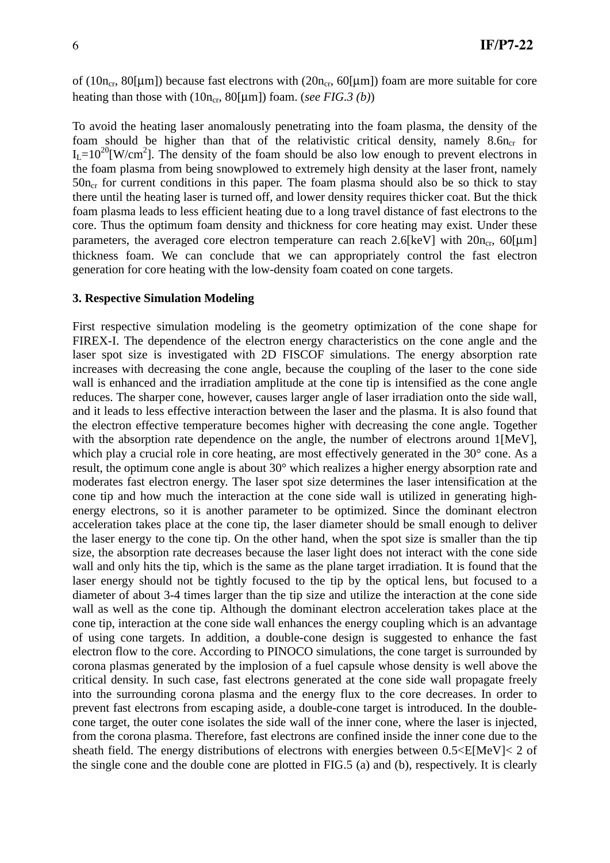of (10n<sub>cr</sub>, 80[µm]) because fast electrons with (20n<sub>cr</sub>, 60[µm]) foam are more suitable for core heating than those with  $(10n_{cr}, 80[\mu m])$  foam. (*see FIG.3 (b)*)

To avoid the heating laser anomalously penetrating into the foam plasma, the density of the foam should be higher than that of the relativistic critical density, namely  $8.6n<sub>cr</sub>$  for  $I_L = 10^{20}$ [W/cm<sup>2</sup>]. The density of the foam should be also low enough to prevent electrons in the foam plasma from being snowplowed to extremely high density at the laser front, namely  $50n_{cr}$  for current conditions in this paper. The foam plasma should also be so thick to stay there until the heating laser is turned off, and lower density requires thicker coat. But the thick foam plasma leads to less efficient heating due to a long travel distance of fast electrons to the core. Thus the optimum foam density and thickness for core heating may exist. Under these parameters, the averaged core electron temperature can reach 2.6[keV] with  $20n_{cr}$ , 60[µm] thickness foam. We can conclude that we can appropriately control the fast electron generation for core heating with the low-density foam coated on cone targets.

### **3. Respective Simulation Modeling**

First respective simulation modeling is the geometry optimization of the cone shape for FIREX-I. The dependence of the electron energy characteristics on the cone angle and the laser spot size is investigated with 2D FISCOF simulations. The energy absorption rate increases with decreasing the cone angle, because the coupling of the laser to the cone side wall is enhanced and the irradiation amplitude at the cone tip is intensified as the cone angle reduces. The sharper cone, however, causes larger angle of laser irradiation onto the side wall, and it leads to less effective interaction between the laser and the plasma. It is also found that the electron effective temperature becomes higher with decreasing the cone angle. Together with the absorption rate dependence on the angle, the number of electrons around 1[MeV], which play a crucial role in core heating, are most effectively generated in the 30° cone. As a result, the optimum cone angle is about 30° which realizes a higher energy absorption rate and moderates fast electron energy. The laser spot size determines the laser intensification at the cone tip and how much the interaction at the cone side wall is utilized in generating highenergy electrons, so it is another parameter to be optimized. Since the dominant electron acceleration takes place at the cone tip, the laser diameter should be small enough to deliver the laser energy to the cone tip. On the other hand, when the spot size is smaller than the tip size, the absorption rate decreases because the laser light does not interact with the cone side wall and only hits the tip, which is the same as the plane target irradiation. It is found that the laser energy should not be tightly focused to the tip by the optical lens, but focused to a diameter of about 3-4 times larger than the tip size and utilize the interaction at the cone side wall as well as the cone tip. Although the dominant electron acceleration takes place at the cone tip, interaction at the cone side wall enhances the energy coupling which is an advantage of using cone targets. In addition, a double-cone design is suggested to enhance the fast electron flow to the core. According to PINOCO simulations, the cone target is surrounded by corona plasmas generated by the implosion of a fuel capsule whose density is well above the critical density. In such case, fast electrons generated at the cone side wall propagate freely into the surrounding corona plasma and the energy flux to the core decreases. In order to prevent fast electrons from escaping aside, a double-cone target is introduced. In the doublecone target, the outer cone isolates the side wall of the inner cone, where the laser is injected, from the corona plasma. Therefore, fast electrons are confined inside the inner cone due to the sheath field. The energy distributions of electrons with energies between  $0.5 \leq E[MeV] \leq 2$  of the single cone and the double cone are plotted in FIG.5 (a) and (b), respectively. It is clearly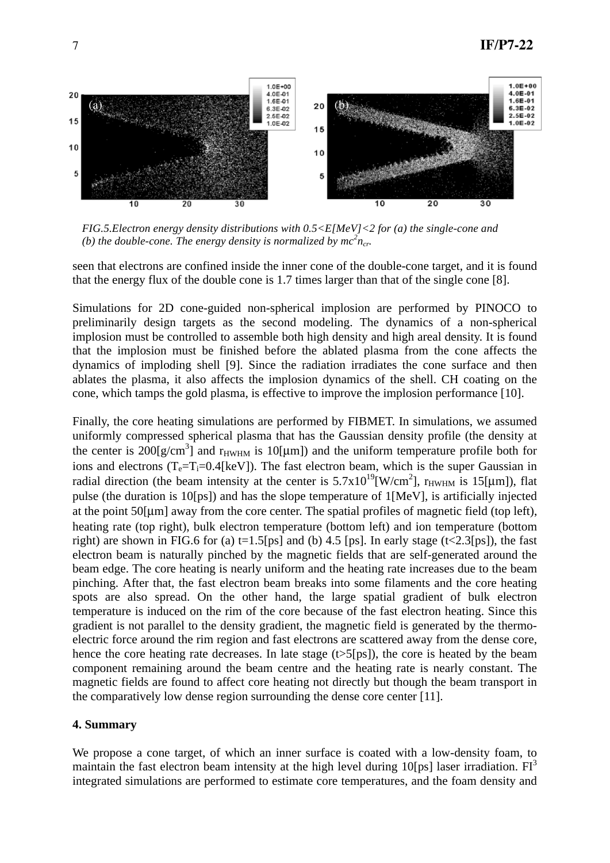

*FIG.5.Electron energy density distributions with 0.5<E[MeV]<2 for (a) the single-cone and (b) the double-cone. The energy density is normalized by*  $mc^2n_{cr}$ *.* 

seen that electrons are confined inside the inner cone of the double-cone target, and it is found that the energy flux of the double cone is 1.7 times larger than that of the single cone [8].

Simulations for 2D cone-guided non-spherical implosion are performed by PINOCO to preliminarily design targets as the second modeling. The dynamics of a non-spherical implosion must be controlled to assemble both high density and high areal density. It is found that the implosion must be finished before the ablated plasma from the cone affects the dynamics of imploding shell [9]. Since the radiation irradiates the cone surface and then ablates the plasma, it also affects the implosion dynamics of the shell. CH coating on the cone, which tamps the gold plasma, is effective to improve the implosion performance [10].

Finally, the core heating simulations are performed by FIBMET. In simulations, we assumed uniformly compressed spherical plasma that has the Gaussian density profile (the density at the center is  $200[g/cm^3]$  and  $r_{HWHM}$  is 10[µm]) and the uniform temperature profile both for ions and electrons  $(T_e=T_i=0.4[keV])$ . The fast electron beam, which is the super Gaussian in radial direction (the beam intensity at the center is  $5.7 \times 10^{19}$ [W/cm<sup>2</sup>], r<sub>HWHM</sub> is 15[µm]), flat pulse (the duration is 10[ps]) and has the slope temperature of 1[MeV], is artificially injected at the point 50[μm] away from the core center. The spatial profiles of magnetic field (top left), heating rate (top right), bulk electron temperature (bottom left) and ion temperature (bottom right) are shown in FIG.6 for (a)  $t=1.5$ [ps] and (b) 4.5 [ps]. In early stage (t<2.3[ps]), the fast electron beam is naturally pinched by the magnetic fields that are self-generated around the beam edge. The core heating is nearly uniform and the heating rate increases due to the beam pinching. After that, the fast electron beam breaks into some filaments and the core heating spots are also spread. On the other hand, the large spatial gradient of bulk electron temperature is induced on the rim of the core because of the fast electron heating. Since this gradient is not parallel to the density gradient, the magnetic field is generated by the thermoelectric force around the rim region and fast electrons are scattered away from the dense core, hence the core heating rate decreases. In late stage  $(t>5[ps])$ , the core is heated by the beam component remaining around the beam centre and the heating rate is nearly constant. The magnetic fields are found to affect core heating not directly but though the beam transport in the comparatively low dense region surrounding the dense core center [11].

### **4. Summary**

We propose a cone target, of which an inner surface is coated with a low-density foam, to maintain the fast electron beam intensity at the high level during 10[ps] laser irradiation.  $FI^3$ integrated simulations are performed to estimate core temperatures, and the foam density and